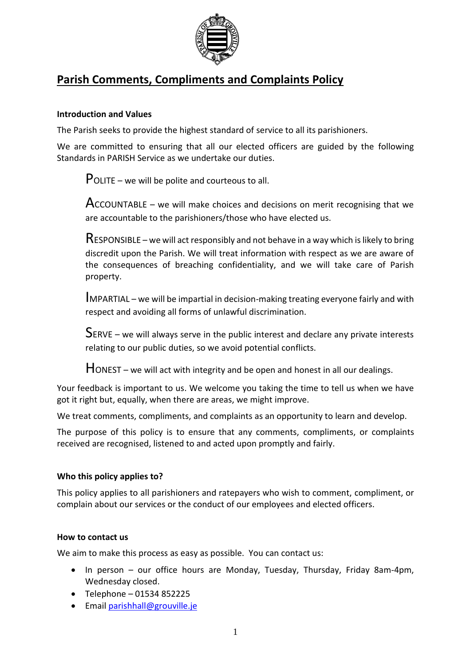

# **Parish Comments, Compliments and Complaints Policy**

# **Introduction and Values**

The Parish seeks to provide the highest standard of service to all its parishioners.

We are committed to ensuring that all our elected officers are guided by the following Standards in PARISH Service as we undertake our duties.

POLITE – we will be polite and courteous to all.

 $Acc$ OUNTABLE – we will make choices and decisions on merit recognising that we are accountable to the parishioners/those who have elected us.

 $\mathsf R$ ESPONSIBLE – we will act responsibly and not behave in a way which is likely to bring discredit upon the Parish. We will treat information with respect as we are aware of the consequences of breaching confidentiality, and we will take care of Parish property.

IMPARTIAL – we will be impartial in decision-making treating everyone fairly and with respect and avoiding all forms of unlawful discrimination.

SERVE – we will always serve in the public interest and declare any private interests relating to our public duties, so we avoid potential conflicts.

 $H$ ONEST – we will act with integrity and be open and honest in all our dealings.

Your feedback is important to us. We welcome you taking the time to tell us when we have got it right but, equally, when there are areas, we might improve.

We treat comments, compliments, and complaints as an opportunity to learn and develop.

The purpose of this policy is to ensure that any comments, compliments, or complaints received are recognised, listened to and acted upon promptly and fairly.

## **Who this policy applies to?**

This policy applies to all parishioners and ratepayers who wish to comment, compliment, or complain about our services or the conduct of our employees and elected officers.

## **How to contact us**

We aim to make this process as easy as possible. You can contact us:

- In person our office hours are Monday, Tuesday, Thursday, Friday 8am-4pm, Wednesday closed.
- Telephone 01534 852225
- Email [parishhall@grouville.je](mailto:parishhall@grouville.je)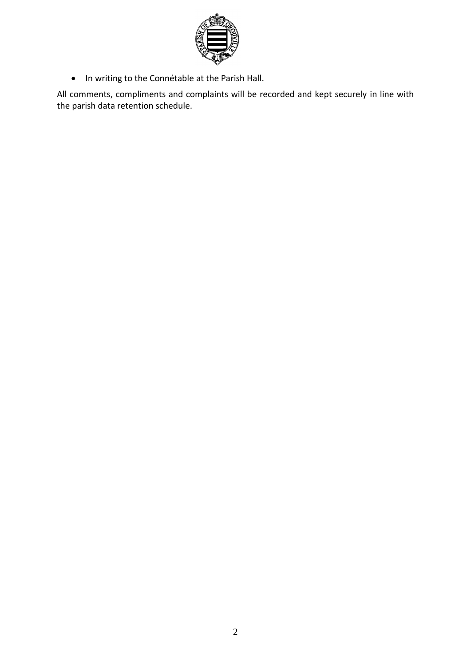

• In writing to the Connétable at the Parish Hall.

All comments, compliments and complaints will be recorded and kept securely in line with the parish data retention schedule.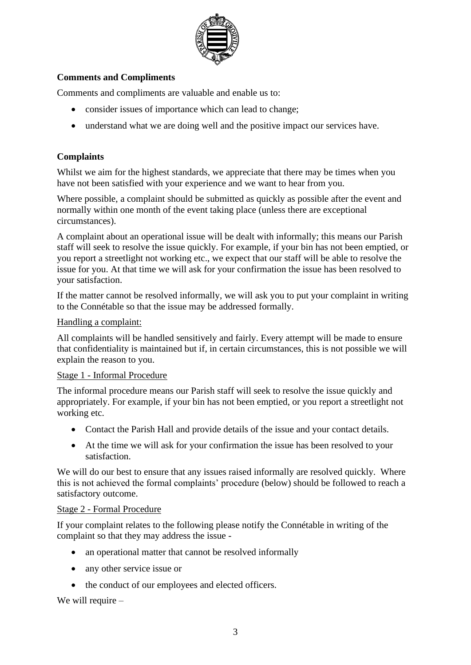

# **Comments and Compliments**

Comments and compliments are valuable and enable us to:

- consider issues of importance which can lead to change;
- understand what we are doing well and the positive impact our services have.

# **Complaints**

Whilst we aim for the highest standards, we appreciate that there may be times when you have not been satisfied with your experience and we want to hear from you.

Where possible, a complaint should be submitted as quickly as possible after the event and normally within one month of the event taking place (unless there are exceptional circumstances).

A complaint about an operational issue will be dealt with informally; this means our Parish staff will seek to resolve the issue quickly. For example, if your bin has not been emptied, or you report a streetlight not working etc., we expect that our staff will be able to resolve the issue for you. At that time we will ask for your confirmation the issue has been resolved to your satisfaction.

If the matter cannot be resolved informally, we will ask you to put your complaint in writing to the Connétable so that the issue may be addressed formally.

#### Handling a complaint:

All complaints will be handled sensitively and fairly. Every attempt will be made to ensure that confidentiality is maintained but if, in certain circumstances, this is not possible we will explain the reason to you.

## Stage 1 - Informal Procedure

The informal procedure means our Parish staff will seek to resolve the issue quickly and appropriately. For example, if your bin has not been emptied, or you report a streetlight not working etc.

- Contact the Parish Hall and provide details of the issue and your contact details.
- At the time we will ask for your confirmation the issue has been resolved to your satisfaction.

We will do our best to ensure that any issues raised informally are resolved quickly. Where this is not achieved the formal complaints' procedure (below) should be followed to reach a satisfactory outcome.

#### Stage 2 - Formal Procedure

If your complaint relates to the following please notify the Connétable in writing of the complaint so that they may address the issue -

- an operational matter that cannot be resolved informally
- any other service issue or
- the conduct of our employees and elected officers.

We will require  $-$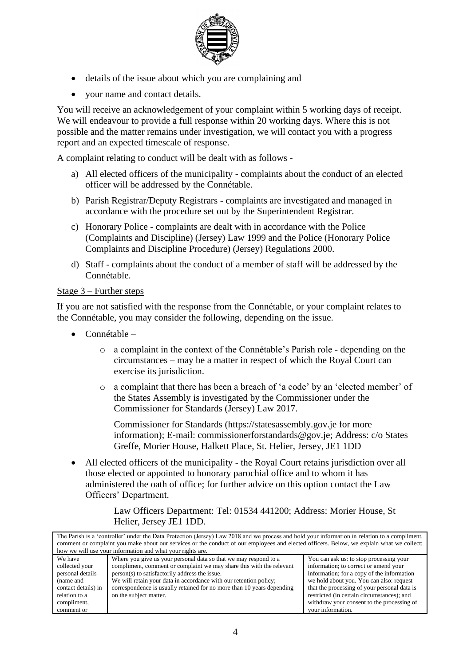

- details of the issue about which you are complaining and
- your name and contact details.

You will receive an acknowledgement of your complaint within 5 working days of receipt. We will endeavour to provide a full response within 20 working days. Where this is not possible and the matter remains under investigation, we will contact you with a progress report and an expected timescale of response.

A complaint relating to conduct will be dealt with as follows -

- a) All elected officers of the municipality complaints about the conduct of an elected officer will be addressed by the Connétable.
- b) Parish Registrar/Deputy Registrars complaints are investigated and managed in accordance with the procedure set out by the Superintendent Registrar.
- c) Honorary Police complaints are dealt with in accordance with the Police (Complaints and Discipline) (Jersey) Law 1999 and the Police (Honorary Police Complaints and Discipline Procedure) (Jersey) Regulations 2000.
- d) Staff complaints about the conduct of a member of staff will be addressed by the Connétable.

#### Stage 3 – Further steps

If you are not satisfied with the response from the Connétable, or your complaint relates to the Connétable, you may consider the following, depending on the issue.

- Connétable
	- o a complaint in the context of the Connétable's Parish role depending on the circumstances – may be a matter in respect of which the Royal Court can exercise its jurisdiction.
	- o a complaint that there has been a breach of 'a code' by an 'elected member' of the States Assembly is investigated by the Commissioner under the Commissioner for Standards (Jersey) Law 2017.

Commissioner for Standards [\(https://statesassembly.gov.je](https://statesassembly.gov.je/) for more information); E-mail: [commissionerforstandards@gov.je;](mailto:commissionerforstandards@gov.je) Address: c/o States Greffe, Morier House, Halkett Place, St. Helier, Jersey, JE1 1DD

• All elected officers of the municipality - the Royal Court retains jurisdiction over all those elected or appointed to honorary parochial office and to whom it has administered the oath of office; for further advice on this option contact the Law Officers' Department.

> Law Officers Department: Tel: 01534 441200; Address: Morier House, St Helier, Jersey JE1 1DD.

| The Parish is a 'controller' under the Data Protection (Jersey) Law 2018 and we process and hold your information in relation to a compliment, |                                                                        |                                              |  |
|------------------------------------------------------------------------------------------------------------------------------------------------|------------------------------------------------------------------------|----------------------------------------------|--|
| comment or complaint you make about our services or the conduct of our employees and elected officers. Below, we explain what we collect;      |                                                                        |                                              |  |
| how we will use your information and what your rights are.                                                                                     |                                                                        |                                              |  |
| We have                                                                                                                                        | Where you give us your personal data so that we may respond to a       | You can ask us: to stop processing your      |  |
| collected your                                                                                                                                 | compliment, comment or complaint we may share this with the relevant   | information; to correct or amend your        |  |
| personal details                                                                                                                               | person(s) to satisfactorily address the issue.                         | information; for a copy of the information   |  |
| (name and                                                                                                                                      | We will retain your data in accordance with our retention policy;      | we hold about you. You can also: request     |  |
| contact details) in                                                                                                                            | correspondence is usually retained for no more than 10 years depending | that the processing of your personal data is |  |
| relation to a                                                                                                                                  | on the subject matter.                                                 | restricted (in certain circumstances); and   |  |
| compliment,                                                                                                                                    |                                                                        | withdraw your consent to the processing of   |  |
| comment or                                                                                                                                     |                                                                        | your information.                            |  |